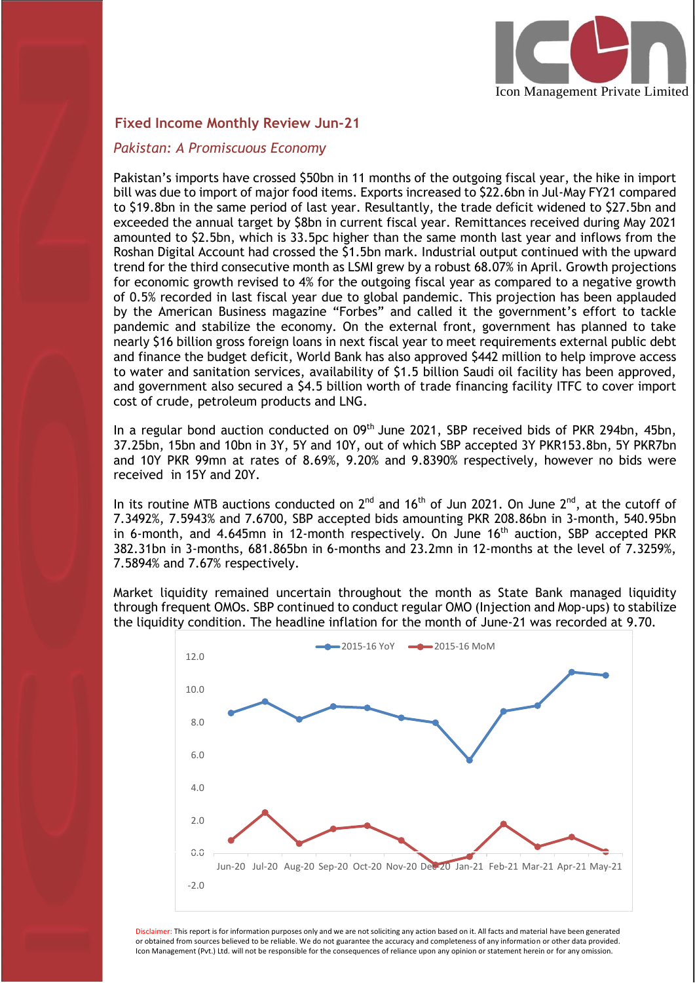

## **Fixed Income Monthly Review Jun-21**

## *Pakistan: A Promiscuous Economy*

I

Pakistan's imports have crossed \$50bn in 11 months of the outgoing fiscal year, the hike in import bill was due to import of major food items. Exports increased to \$22.6bn in Jul-May FY21 compared to \$19.8bn in the same period of last year. Resultantly, the trade deficit widened to \$27.5bn and exceeded the annual target by \$8bn in current fiscal year. Remittances received during May 2021 amounted to \$2.5bn, which is 33.5pc higher than the same month last year and inflows from the Roshan Digital Account had crossed the \$1.5bn mark. Industrial output continued with the upward trend for the third consecutive month as LSMI grew by a robust 68.07% in April. Growth projections for economic growth revised to 4% for the outgoing fiscal year as compared to a negative growth of 0.5% recorded in last fiscal year due to global pandemic. This projection has been applauded by the American Business magazine "Forbes" and called it the government's effort to tackle pandemic and stabilize the economy. On the external front, government has planned to take nearly \$16 billion gross foreign loans in next fiscal year to meet requirements external public debt and finance the budget deficit, World Bank has also approved \$442 million to help improve access to water and sanitation services, availability of \$1.5 billion Saudi oil facility has been approved, and government also secured a \$4.5 billion worth of trade financing facility ITFC to cover import cost of crude, petroleum products and LNG.

In a regular bond auction conducted on 09<sup>th</sup> June 2021, SBP received bids of PKR 294bn, 45bn, 37.25bn, 15bn and 10bn in 3Y, 5Y and 10Y, out of which SBP accepted 3Y PKR153.8bn, 5Y PKR7bn and 10Y PKR 99mn at rates of 8.69%, 9.20% and 9.8390% respectively, however no bids were received in 15Y and 20Y.

In its routine MTB auctions conducted on  $2^{nd}$  and 16<sup>th</sup> of Jun 2021. On June  $2^{nd}$ , at the cutoff of 7.3492%, 7.5943% and 7.6700, SBP accepted bids amounting PKR 208.86bn in 3-month, 540.95bn in 6-month, and 4.645mn in 12-month respectively. On June 16<sup>th</sup> auction, SBP accepted PKR 382.31bn in 3-months, 681.865bn in 6-months and 23.2mn in 12-months at the level of 7.3259%, 7.5894% and 7.67% respectively.

Market liquidity remained uncertain throughout the month as State Bank managed liquidity through frequent OMOs. SBP continued to conduct regular OMO (Injection and Mop-ups) to stabilize the liquidity condition. The headline inflation for the month of June-21 was recorded at 9.70.



Disclaimer: This report is for information purposes only and we are not soliciting any action based on it. All facts and material have been generated or obtained from sources believed to be reliable. We do not guarantee the accuracy and completeness of any information or other data provided. Icon Management (Pvt.) Ltd. will not be responsible for the consequences of reliance upon any opinion or statement herein or for any omission.